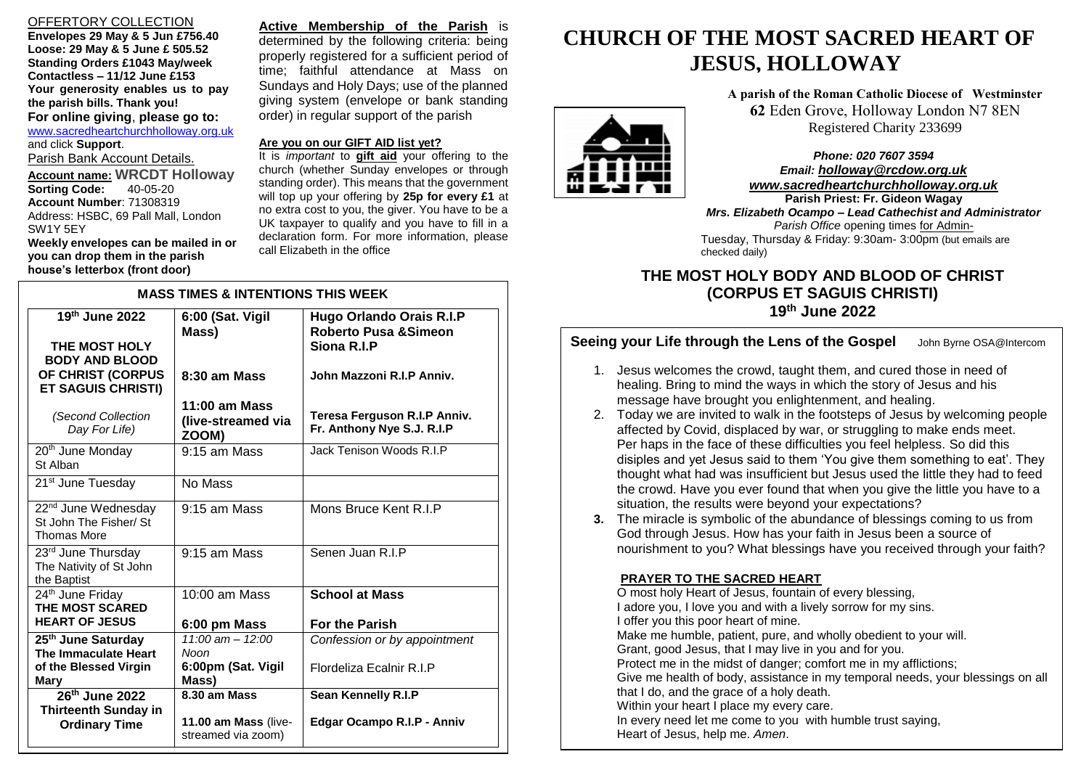# OFFERTORY COLLECTION

**Envelopes 29 May & 5 Jun £756.40 Loose: 29 May & 5 June £ 505.52 Standing Orders £1043 May/week Contactless – 11/12 June £153 Your generosity enables us to pay the parish bills. Thank you! For online giving**, **please go to:** [www.sacredheartchurchholloway.org.uk](http://www.sacredheartchurchholloway.org.uk/) and click **Support**. Parish Bank Account Details. **Account name: WRCDT Holloway Sorting Code: Account Number**: 71308319

Address: HSBC, 69 Pall Mall, London SW1Y 5EY **Weekly envelopes can be mailed in or you can drop them in the parish** 

**house's letterbox (front door)**

**Active Membership of the Parish** is determined by the following criteria: being properly registered for a sufficient period of time; faithful attendance at Mass on Sundays and Holy Days; use of the planned giving system (envelope or bank standing order) in regular support of the parish

# **Are you on our GIFT AID list yet?**

It is *important* to **gift aid** your offering to the church (whether Sunday envelopes or through standing order). This means that the government will top up your offering by **25p for every £1** at no extra cost to you, the giver. You have to be a UK taxpayer to qualify and you have to fill in a declaration form. For more information, please call Elizabeth in the office

| <b>MASS TIMES &amp; INTENTIONS THIS WEEK</b>                                                               |                                                                   |                                                                                                                 |
|------------------------------------------------------------------------------------------------------------|-------------------------------------------------------------------|-----------------------------------------------------------------------------------------------------------------|
| 19th June 2022<br>THE MOST HOLY<br><b>BODY AND BLOOD</b><br>OF CHRIST (CORPUS<br><b>ET SAGUIS CHRISTI)</b> | 6:00 (Sat. Vigil<br>Mass)<br>8:30 am Mass                         | <b>Hugo Orlando Orais R.I.P</b><br><b>Roberto Pusa &amp; Simeon</b><br>Siona R.I.P<br>John Mazzoni R.I.P Anniv. |
| (Second Collection<br>Day For Life)                                                                        | $11:00$ am Mass<br>(live-streamed via<br>ZOOM)                    | Teresa Ferguson R.I.P Anniv.<br>Fr. Anthony Nye S.J. R.I.P                                                      |
| 20 <sup>th</sup> June Monday<br>St Alban                                                                   | $9:15$ am Mass                                                    | Jack Tenison Woods R.I.P                                                                                        |
| 21 <sup>st</sup> June Tuesday                                                                              | No Mass                                                           |                                                                                                                 |
| 22 <sup>nd</sup> June Wednesday<br>St John The Fisher/ St<br><b>Thomas More</b>                            | $9:15$ am Mass                                                    | Mons Bruce Kent R.I.P                                                                                           |
| 23rd June Thursday<br>The Nativity of St John<br>the Baptist                                               | 9:15 am Mass                                                      | Senen Juan R.I.P                                                                                                |
| 24th June Friday<br><b>THE MOST SCARED</b><br><b>HEART OF JESUS</b>                                        | $10:00$ am Mass<br>6:00 pm Mass                                   | <b>School at Mass</b><br><b>For the Parish</b>                                                                  |
| 25 <sup>th</sup> June Saturday<br>The Immaculate Heart<br>of the Blessed Virgin<br>Mary                    | $11:00 \text{ am} - 12:00$<br>Noon<br>6:00pm (Sat. Vigil<br>Mass) | Confession or by appointment<br>Flordeliza Ecalnir R.I.P                                                        |
| 26 <sup>th</sup> June 2022<br><b>Thirteenth Sunday in</b><br><b>Ordinary Time</b>                          | 8.30 am Mass<br>11.00 am Mass (live-<br>streamed via zoom)        | Sean Kennelly R.I.P<br>Edgar Ocampo R.I.P - Anniv                                                               |

# **CHURCH OF THE MOST SACRED HEART OF JESUS, HOLLOWAY**

**A parish of the Roman Catholic Diocese of Westminster 62** Eden Grove, Holloway London N7 8EN Registered Charity 233699

*Phone: 020 7607 3594 Email: [holloway@rcdow.org.uk](mailto:holloway@rcdow.org.uk) www.sacredheartchurchholloway.org.uk*

 Tuesday, Thursday & Friday: 9:30am- 3:00pm (but emails are **Parish Priest: Fr. Gideon Wagay** *Mrs. Elizabeth Ocampo – Lead Cathechist and Administrator Parish Office* opening times for Adminchecked daily)

# **THE MOST HOLY BODY AND BLOOD OF CHRIST (CORPUS ET SAGUIS CHRISTI) 19 th June 2022**

# **Seeing your Life through the Lens of the Gospel** John Byrne OSA@Intercom

- 1. Jesus welcomes the crowd, taught them, and cured those in need of healing. Bring to mind the ways in which the story of Jesus and his message have brought you enlightenment, and healing.
- 2. Today we are invited to walk in the footsteps of Jesus by welcoming people affected by Covid, displaced by war, or struggling to make ends meet. Per haps in the face of these difficulties you feel helpless. So did this disiples and yet Jesus said to them 'You give them something to eat'. They thought what had was insufficient but Jesus used the little they had to feed the crowd. Have you ever found that when you give the little you have to a situation, the results were beyond your expectations?
- **3.** The miracle is symbolic of the abundance of blessings coming to us from God through Jesus. How has your faith in Jesus been a source of nourishment to you? What blessings have you received through your faith?

# **PRAYER TO THE SACRED HEART**

O most holy Heart of Jesus, fountain of every blessing, I adore you, I love you and with a lively sorrow for my sins. I offer you this poor heart of mine. Make me humble, patient, pure, and wholly obedient to your will. Grant, good Jesus, that I may live in you and for you. Protect me in the midst of danger; comfort me in my afflictions; Give me health of body, assistance in my temporal needs, your blessings on all that I do, and the grace of a holy death. Within your heart I place my every care. In every need let me come to you with humble trust saying, Heart of Jesus, help me. *Amen*.